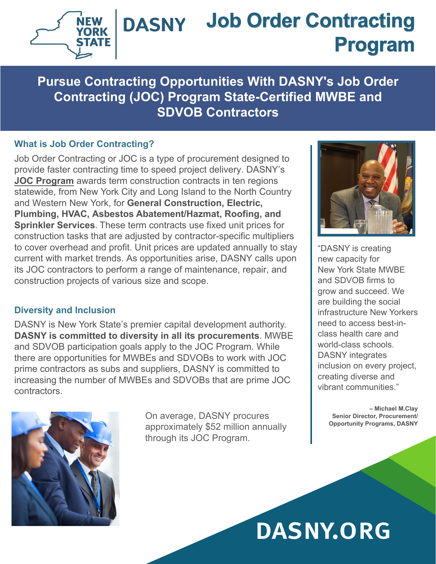

## **Job Order Contracting DASNY Program**

**Pursue Contracting Opportunities With DASNY's Job Order Contracting (JOC) Program State-Certified MWBE and SDVOB Contractors**

## **What is Job Order Contracting?**

Job Order Contracting or JOC is a type of procurement designed to provide faster contracting time to speed project delivery. DASNY's **[JOC Program](https://www.dasny.org/opportunities/joc-job-orders)** awards term construction contracts in ten regions statewide, from New York City and Long Island to the North Country and Western New York, for **General Construction, Electric, Plumbing, HVAC, Asbestos Abatement/Hazmat, Roofing, and Sprinkler Services**. These term contracts use fixed unit prices for construction tasks that are adjusted by contractor-specific multipliers to cover overhead and profit. Unit prices are updated annually to stay current with market trends. As opportunities arise, DASNY calls upon its JOC contractors to perform a range of maintenance, repair, and construction projects of various size and scope.

## **Diversity and Inclusion**

DASNY is New York State's premier capital development authority. **DASNY is committed to diversity in all its procurements**. MWBE and SDVOB participation goals apply to the JOC Program. While there are opportunities for MWBEs and SDVOBs to work with JOC prime contractors as subs and suppliers, DASNY is committed to increasing the number of MWBEs and SDVOBs that are prime JOC contractors.



On average, DASNY procures approximately \$52 million annually through its JOC Program.



"DASNY is creating new capacity for New York State MWBE and SDVOB firms to grow and succeed. We are building the social infrastructure New Yorkers need to access best-inclass health care and world-class schools. DASNY integrates inclusion on every project, creating diverse and vibrant communities."

> **– Michael M.Clay Senior Director, Procurement/ Opportunity Programs, DASNY**

DASNY.ORG